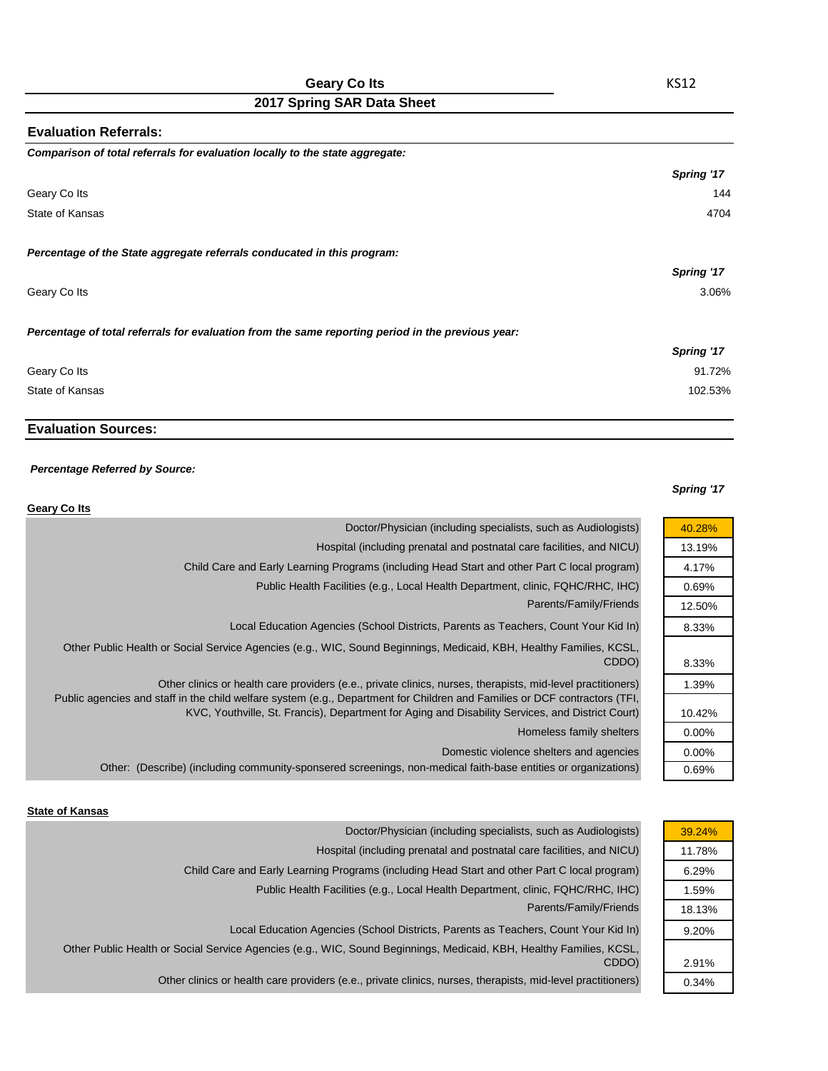| <b>Evaluation Referrals:</b>                                                                      |            |
|---------------------------------------------------------------------------------------------------|------------|
| Comparison of total referrals for evaluation locally to the state aggregate:                      |            |
|                                                                                                   | Spring '17 |
| Geary Co Its                                                                                      | 144        |
| State of Kansas                                                                                   | 4704       |
| Percentage of the State aggregate referrals conducated in this program:                           |            |
|                                                                                                   | Spring '17 |
| Geary Co Its                                                                                      | 3.06%      |
| Percentage of total referrals for evaluation from the same reporting period in the previous year: |            |
|                                                                                                   | Spring '17 |
| Geary Co Its                                                                                      | 91.72%     |
| State of Kansas                                                                                   | 102.53%    |

## **Evaluation Sources:**

#### *Percentage Referred by Source:*

#### *Spring '17*

40.28% 13.19% 4.17% 0.69% 12.50% 8.33%

> 8.33% 1.39%

10.42% 0.00% 0.00% 0.69%

| Geary Co Its                                                                                                                                                                                                                                                                                                                                  |
|-----------------------------------------------------------------------------------------------------------------------------------------------------------------------------------------------------------------------------------------------------------------------------------------------------------------------------------------------|
| Doctor/Physician (including specialists, such as Audiologists)                                                                                                                                                                                                                                                                                |
| Hospital (including prenatal and postnatal care facilities, and NICU)                                                                                                                                                                                                                                                                         |
| Child Care and Early Learning Programs (including Head Start and other Part C local program)                                                                                                                                                                                                                                                  |
| Public Health Facilities (e.g., Local Health Department, clinic, FQHC/RHC, IHC)                                                                                                                                                                                                                                                               |
| Parents/Family/Friends                                                                                                                                                                                                                                                                                                                        |
| Local Education Agencies (School Districts, Parents as Teachers, Count Your Kid In)                                                                                                                                                                                                                                                           |
| Other Public Health or Social Service Agencies (e.g., WIC, Sound Beginnings, Medicaid, KBH, Healthy Families, KCSL,<br>CDDO)                                                                                                                                                                                                                  |
| Other clinics or health care providers (e.e., private clinics, nurses, therapists, mid-level practitioners)<br>Public agencies and staff in the child welfare system (e.g., Department for Children and Families or DCF contractors (TFI,<br>KVC, Youthville, St. Francis), Department for Aging and Disability Services, and District Court) |
| Homeless family shelters                                                                                                                                                                                                                                                                                                                      |
| Domestic violence shelters and agencies                                                                                                                                                                                                                                                                                                       |
| Other: (Describe) (including community-sponsered screenings, non-medical faith-base entities or organizations)                                                                                                                                                                                                                                |

#### **State of Kansas**

| Doctor/Physician (including specialists, such as Audiologists)                                                      | 39.24% |
|---------------------------------------------------------------------------------------------------------------------|--------|
| Hospital (including prenatal and postnatal care facilities, and NICU)                                               | 11.78% |
| Child Care and Early Learning Programs (including Head Start and other Part C local program)                        | 6.29%  |
| Public Health Facilities (e.g., Local Health Department, clinic, FQHC/RHC, IHC)                                     | 1.59%  |
| Parents/Family/Friends                                                                                              | 18.13% |
| Local Education Agencies (School Districts, Parents as Teachers, Count Your Kid In)                                 | 9.20%  |
| Other Public Health or Social Service Agencies (e.g., WIC, Sound Beginnings, Medicaid, KBH, Healthy Families, KCSL, |        |
| CDDO)                                                                                                               | 2.91%  |
| Other clinics or health care providers (e.e., private clinics, nurses, therapists, mid-level practitioners)         | 0.34%  |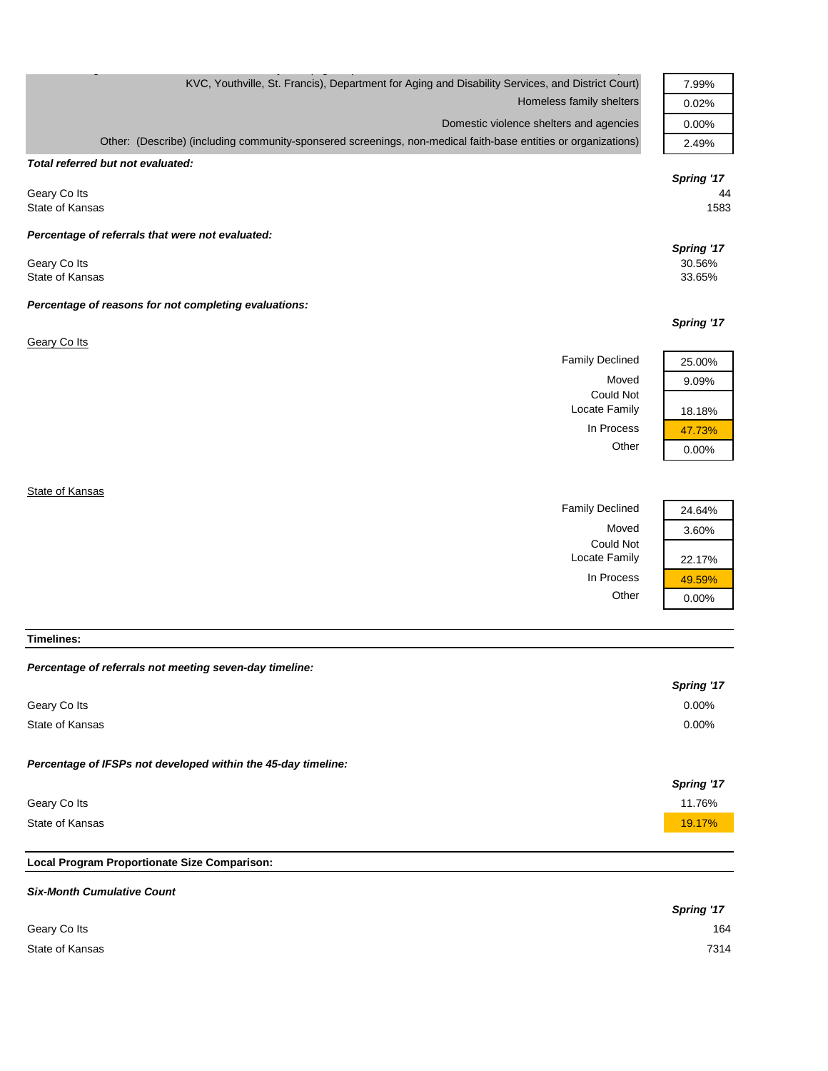| KVC, Youthville, St. Francis), Department for Aging and Disability Services, and District Court)               | 7.99%      |
|----------------------------------------------------------------------------------------------------------------|------------|
| Homeless family shelters                                                                                       | 0.02%      |
| Domestic violence shelters and agencies                                                                        | 0.00%      |
| Other: (Describe) (including community-sponsered screenings, non-medical faith-base entities or organizations) | 2.49%      |
| Total referred but not evaluated:                                                                              |            |
|                                                                                                                | Spring '17 |
| Geary Colts                                                                                                    | 44         |
| State of Kansas                                                                                                | 1583       |
| Percentage of referrals that were not evaluated:                                                               |            |
|                                                                                                                | Spring '17 |
| Geary Colts                                                                                                    | 30.56%     |
| State of Kansas                                                                                                | 33.65%     |
| Percentage of reasons for not completing evaluations:                                                          |            |
|                                                                                                                | Spring '17 |
| <b>Geary Co Its</b>                                                                                            |            |
| <b>Family Declined</b>                                                                                         | 25.00%     |
| Moved                                                                                                          | 9.09%      |
| <b>Could Not</b>                                                                                               |            |
| Locate Family                                                                                                  | 18.18%     |
| In Process                                                                                                     | 47.73%     |
| Other                                                                                                          | 0.00%      |
|                                                                                                                |            |
| State of Kansas                                                                                                |            |
| <b>Family Declined</b>                                                                                         | 24.64%     |

Moved 3.60%

Locate Family 22.17%

In Process  $\frac{49.59\%}{0.00\%}$ 

 $0.00%$ 

Could Not

**Timelines:**

| Percentage of referrals not meeting seven-day timeline: |  |  |  |  |
|---------------------------------------------------------|--|--|--|--|
|---------------------------------------------------------|--|--|--|--|

|                                                               | Spring '17 |
|---------------------------------------------------------------|------------|
| Geary Colts                                                   | 0.00%      |
| State of Kansas                                               | $0.00\%$   |
| Percentage of IFSPs not developed within the 45-day timeline: | Spring '17 |
| Geary Colts                                                   | 11.76%     |
| State of Kansas                                               | 19.17%     |
|                                                               |            |

# **Local Program Proportionate Size Comparison:**

| <b>Six-Month Cumulative Count</b> |            |
|-----------------------------------|------------|
|                                   | Spring '17 |
| Geary Colts                       | 164        |
| State of Kansas                   | 7314       |